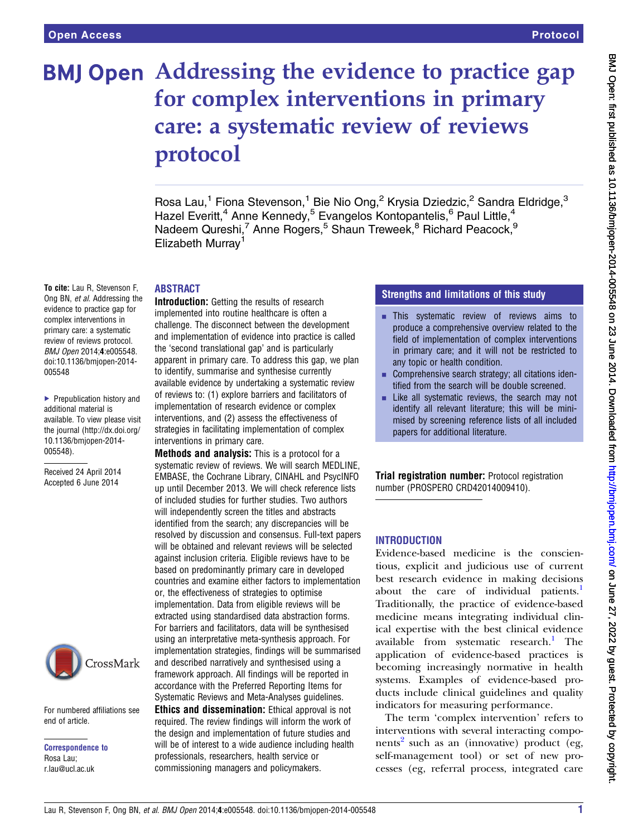# **BMJ Open** Addressing the evidence to practice gap for complex interventions in primary care: a systematic review of reviews protocol

Rosa Lau,<sup>1</sup> Fiona Stevenson,<sup>1</sup> Bie Nio Ong,<sup>2</sup> Krysia Dziedzic,<sup>2</sup> Sandra Eldridge,<sup>3</sup> Hazel Everitt,<sup>4</sup> Anne Kennedy,<sup>5</sup> Evangelos Kontopantelis,<sup>6</sup> Paul Little,<sup>4</sup> Nadeem Qureshi,<sup>7</sup> Anne Rogers,<sup>5</sup> Shaun Treweek,<sup>8</sup> Richard Peacock,<sup>9</sup> Elizabeth Murrav<sup>1</sup>

#### ABSTRACT

To cite: Lau R, Stevenson F, Ong BN, et al. Addressing the evidence to practice gap for complex interventions in primary care: a systematic review of reviews protocol. BMJ Open 2014;4:e005548. doi:10.1136/bmjopen-2014- 005548

▶ Prepublication history and additional material is available. To view please visit the journal [\(http://dx.doi.org/](http://dx.doi.org/10.1136/bmjopen-2014-005548) [10.1136/bmjopen-2014-](http://dx.doi.org/10.1136/bmjopen-2014-005548) [005548\)](http://dx.doi.org/10.1136/bmjopen-2014-005548).

Received 24 April 2014 Accepted 6 June 2014



For numbered affiliations see end of article.

Correspondence to Rosa Lau; r.lau@ucl.ac.uk

Introduction: Getting the results of research implemented into routine healthcare is often a challenge. The disconnect between the development and implementation of evidence into practice is called the 'second translational gap' and is particularly apparent in primary care. To address this gap, we plan to identify, summarise and synthesise currently available evidence by undertaking a systematic review of reviews to: (1) explore barriers and facilitators of implementation of research evidence or complex interventions, and (2) assess the effectiveness of strategies in facilitating implementation of complex interventions in primary care.

Methods and analysis: This is a protocol for a systematic review of reviews. We will search MEDLINE, EMBASE, the Cochrane Library, CINAHL and PsycINFO up until December 2013. We will check reference lists of included studies for further studies. Two authors will independently screen the titles and abstracts identified from the search; any discrepancies will be resolved by discussion and consensus. Full-text papers will be obtained and relevant reviews will be selected against inclusion criteria. Eligible reviews have to be based on predominantly primary care in developed countries and examine either factors to implementation or, the effectiveness of strategies to optimise implementation. Data from eligible reviews will be extracted using standardised data abstraction forms. For barriers and facilitators, data will be synthesised using an interpretative meta-synthesis approach. For implementation strategies, findings will be summarised and described narratively and synthesised using a framework approach. All findings will be reported in accordance with the Preferred Reporting Items for Systematic Reviews and Meta-Analyses guidelines. Ethics and dissemination: Ethical approval is not required. The review findings will inform the work of the design and implementation of future studies and will be of interest to a wide audience including health professionals, researchers, health service or commissioning managers and policymakers.

#### Strengths and limitations of this study

- **EXECUTE:** This systematic review of reviews aims to produce a comprehensive overview related to the field of implementation of complex interventions in primary care; and it will not be restricted to any topic or health condition.
- Comprehensive search strategy; all citations identified from the search will be double screened.
- $\blacksquare$  Like all systematic reviews, the search may not identify all relevant literature; this will be minimised by screening reference lists of all included papers for additional literature.

Trial registration number: Protocol registration number (PROSPERO CRD42014009410).

# **INTRODUCTION**

Evidence-based medicine is the conscientious, explicit and judicious use of current best research evidence in making decisions about the care of individual patients.<sup>[1](#page-4-0)</sup> Traditionally, the practice of evidence-based medicine means integrating individual clinical expertise with the best clinical evidence available from systematic research.<sup>[1](#page-4-0)</sup> The application of evidence-based practices is becoming increasingly normative in health systems. Examples of evidence-based products include clinical guidelines and quality indicators for measuring performance.

The term 'complex intervention' refers to interventions with several interacting compo-nents<sup>[2](#page-4-0)</sup> such as an (innovative) product (eg, self-management tool) or set of new processes (eg, referral process, integrated care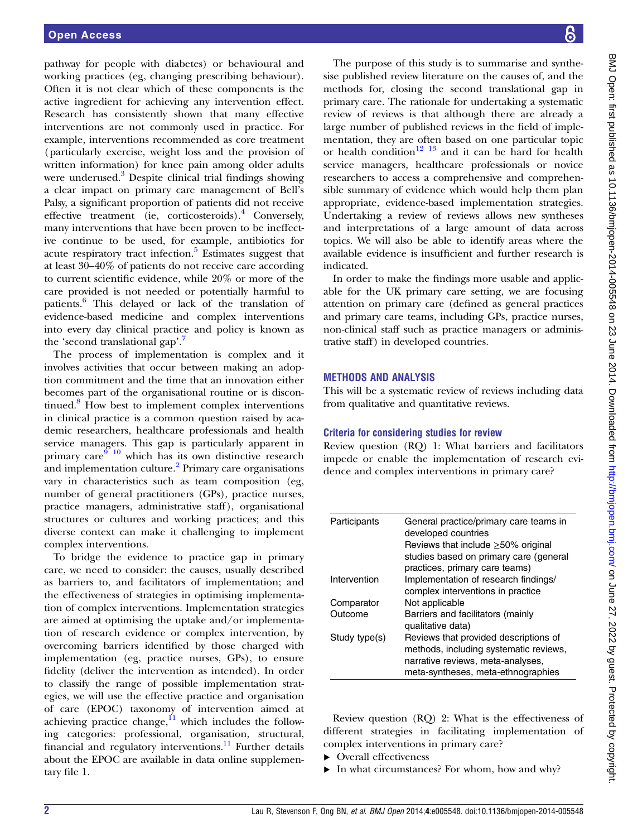pathway for people with diabetes) or behavioural and working practices (eg, changing prescribing behaviour). Often it is not clear which of these components is the active ingredient for achieving any intervention effect. Research has consistently shown that many effective interventions are not commonly used in practice. For example, interventions recommended as core treatment (particularly exercise, weight loss and the provision of written information) for knee pain among older adults were underused.<sup>[3](#page-4-0)</sup> Despite clinical trial findings showing a clear impact on primary care management of Bell's Palsy, a significant proportion of patients did not receive effective treatment (ie, corticosteroids).<sup>[4](#page-4-0)</sup> Conversely, many interventions that have been proven to be ineffective continue to be used, for example, antibiotics for acute respiratory tract infection. $5$  Estimates suggest that at least 30–40% of patients do not receive care according to current scientific evidence, while 20% or more of the care provided is not needed or potentially harmful to patients.<sup>[6](#page-4-0)</sup> This delayed or lack of the translation of evidence-based medicine and complex interventions into every day clinical practice and policy is known as the 'second translational gap'.<sup>[7](#page-4-0)</sup>

The process of implementation is complex and it involves activities that occur between making an adoption commitment and the time that an innovation either becomes part of the organisational routine or is discontinued. $8$  How best to implement complex interventions in clinical practice is a common question raised by academic researchers, healthcare professionals and health service managers. This gap is particularly apparent in primary care $9^{-10}$  which has its own distinctive research and implementation culture.<sup>[2](#page-4-0)</sup> Primary care organisations vary in characteristics such as team composition (eg, number of general practitioners (GPs), practice nurses, practice managers, administrative staff), organisational structures or cultures and working practices; and this diverse context can make it challenging to implement complex interventions.

To bridge the evidence to practice gap in primary care, we need to consider: the causes, usually described as barriers to, and facilitators of implementation; and the effectiveness of strategies in optimising implementation of complex interventions. Implementation strategies are aimed at optimising the uptake and/or implementation of research evidence or complex intervention, by overcoming barriers identified by those charged with implementation (eg, practice nurses, GPs), to ensure fidelity (deliver the intervention as intended). In order to classify the range of possible implementation strategies, we will use the effective practice and organisation of care (EPOC) taxonomy of intervention aimed at achieving practice change,<sup> $11$ </sup> which includes the following categories: professional, organisation, structural, financial and regulatory interventions. $^{11}$  $^{11}$  $^{11}$  Further details about the EPOC are available in data online supplementary file 1.

The purpose of this study is to summarise and synthesise published review literature on the causes of, and the methods for, closing the second translational gap in primary care. The rationale for undertaking a systematic review of reviews is that although there are already a large number of published reviews in the field of implementation, they are often based on one particular topic or health condition<sup>12</sup> <sup>13</sup> and it can be hard for health service managers, healthcare professionals or novice researchers to access a comprehensive and comprehensible summary of evidence which would help them plan appropriate, evidence-based implementation strategies. Undertaking a review of reviews allows new syntheses and interpretations of a large amount of data across topics. We will also be able to identify areas where the available evidence is insufficient and further research is indicated.

In order to make the findings more usable and applicable for the UK primary care setting, we are focusing attention on primary care (defined as general practices and primary care teams, including GPs, practice nurses, non-clinical staff such as practice managers or administrative staff) in developed countries.

#### METHODS AND ANALYSIS

This will be a systematic review of reviews including data from qualitative and quantitative reviews.

#### Criteria for considering studies for review

Review question (RQ) 1: What barriers and facilitators impede or enable the implementation of research evidence and complex interventions in primary care?

| Participants  | General practice/primary care teams in<br>developed countries            |
|---------------|--------------------------------------------------------------------------|
|               | Reviews that include $\geq$ 50% original                                 |
|               | studies based on primary care (general<br>practices, primary care teams) |
| Intervention  | Implementation of research findings/                                     |
|               | complex interventions in practice                                        |
| Comparator    | Not applicable                                                           |
| Outcome       | Barriers and facilitators (mainly                                        |
|               | qualitative data)                                                        |
| Study type(s) | Reviews that provided descriptions of                                    |
|               | methods, including systematic reviews,                                   |
|               | narrative reviews, meta-analyses,                                        |
|               | meta-syntheses, meta-ethnographies                                       |

Review question (RQ) 2: What is the effectiveness of different strategies in facilitating implementation of complex interventions in primary care?

- ▶ Overall effectiveness
- In what circumstances? For whom, how and why?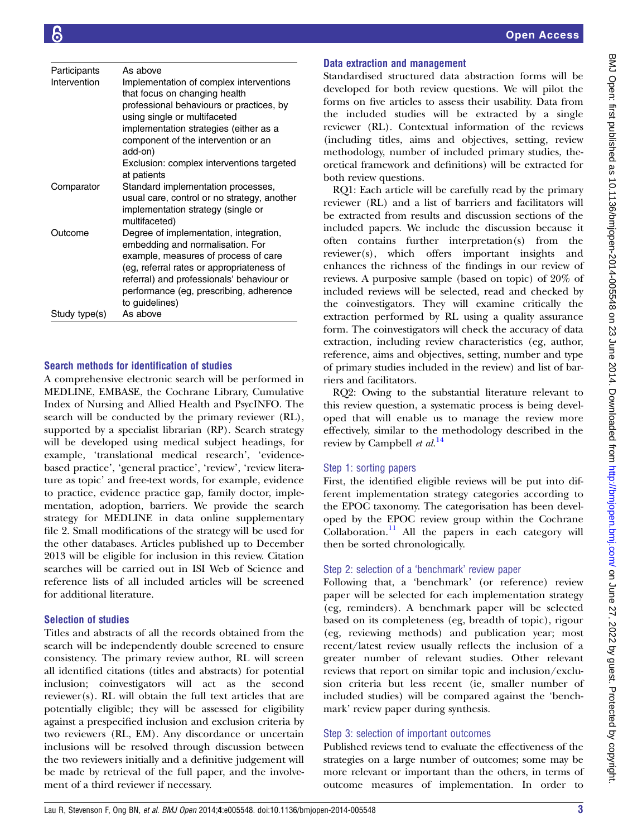| Participants<br>Intervention | As above<br>Implementation of complex interventions<br>that focus on changing health<br>professional behaviours or practices, by<br>using single or multifaceted<br>implementation strategies (either as a<br>component of the intervention or an<br>add-on)<br>Exclusion: complex interventions targeted<br>at patients |
|------------------------------|--------------------------------------------------------------------------------------------------------------------------------------------------------------------------------------------------------------------------------------------------------------------------------------------------------------------------|
| Comparator                   | Standard implementation processes,<br>usual care, control or no strategy, another<br>implementation strategy (single or<br>multifaceted)                                                                                                                                                                                 |
| Outcome                      | Degree of implementation, integration,<br>embedding and normalisation. For<br>example, measures of process of care<br>(eg, referral rates or appropriateness of<br>referral) and professionals' behaviour or<br>performance (eg, prescribing, adherence<br>to quidelines)                                                |
| Study type(s)                | As above                                                                                                                                                                                                                                                                                                                 |

# Search methods for identification of studies

A comprehensive electronic search will be performed in MEDLINE, EMBASE, the Cochrane Library, Cumulative Index of Nursing and Allied Health and PsycINFO. The search will be conducted by the primary reviewer (RL), supported by a specialist librarian (RP). Search strategy will be developed using medical subject headings, for example, 'translational medical research', 'evidencebased practice', 'general practice', 'review', 'review literature as topic' and free-text words, for example, evidence to practice, evidence practice gap, family doctor, implementation, adoption, barriers. We provide the search strategy for MEDLINE in data online supplementary file 2. Small modifications of the strategy will be used for the other databases. Articles published up to December 2013 will be eligible for inclusion in this review. Citation searches will be carried out in ISI Web of Science and reference lists of all included articles will be screened for additional literature.

# Selection of studies

Titles and abstracts of all the records obtained from the search will be independently double screened to ensure consistency. The primary review author, RL will screen all identified citations (titles and abstracts) for potential inclusion; coinvestigators will act as the second reviewer(s). RL will obtain the full text articles that are potentially eligible; they will be assessed for eligibility against a prespecified inclusion and exclusion criteria by two reviewers (RL, EM). Any discordance or uncertain inclusions will be resolved through discussion between the two reviewers initially and a definitive judgement will be made by retrieval of the full paper, and the involvement of a third reviewer if necessary.

## Data extraction and management

Standardised structured data abstraction forms will be developed for both review questions. We will pilot the forms on five articles to assess their usability. Data from the included studies will be extracted by a single reviewer (RL). Contextual information of the reviews (including titles, aims and objectives, setting, review methodology, number of included primary studies, theoretical framework and definitions) will be extracted for both review questions.

RQ1: Each article will be carefully read by the primary reviewer (RL) and a list of barriers and facilitators will be extracted from results and discussion sections of the included papers. We include the discussion because it often contains further interpretation(s) from the reviewer(s), which offers important insights and enhances the richness of the findings in our review of reviews. A purposive sample (based on topic) of 20% of included reviews will be selected, read and checked by the coinvestigators. They will examine critically the extraction performed by RL using a quality assurance form. The coinvestigators will check the accuracy of data extraction, including review characteristics (eg, author, reference, aims and objectives, setting, number and type of primary studies included in the review) and list of barriers and facilitators.

RQ2: Owing to the substantial literature relevant to this review question, a systematic process is being developed that will enable us to manage the review more effectively, similar to the methodology described in the review by Campbell *et al.*<sup>[14](#page-5-0)</sup>

# Step 1: sorting papers

First, the identified eligible reviews will be put into different implementation strategy categories according to the EPOC taxonomy. The categorisation has been developed by the EPOC review group within the Cochrane  $Collaboration.<sup>11</sup>$  $Collaboration.<sup>11</sup>$  $Collaboration.<sup>11</sup>$  All the papers in each category will then be sorted chronologically.

# Step 2: selection of a 'benchmark' review paper

Following that, a 'benchmark' (or reference) review paper will be selected for each implementation strategy (eg, reminders). A benchmark paper will be selected based on its completeness (eg, breadth of topic), rigour (eg, reviewing methods) and publication year; most recent/latest review usually reflects the inclusion of a greater number of relevant studies. Other relevant reviews that report on similar topic and inclusion/exclusion criteria but less recent (ie, smaller number of included studies) will be compared against the 'benchmark' review paper during synthesis.

# Step 3: selection of important outcomes

Published reviews tend to evaluate the effectiveness of the strategies on a large number of outcomes; some may be more relevant or important than the others, in terms of outcome measures of implementation. In order to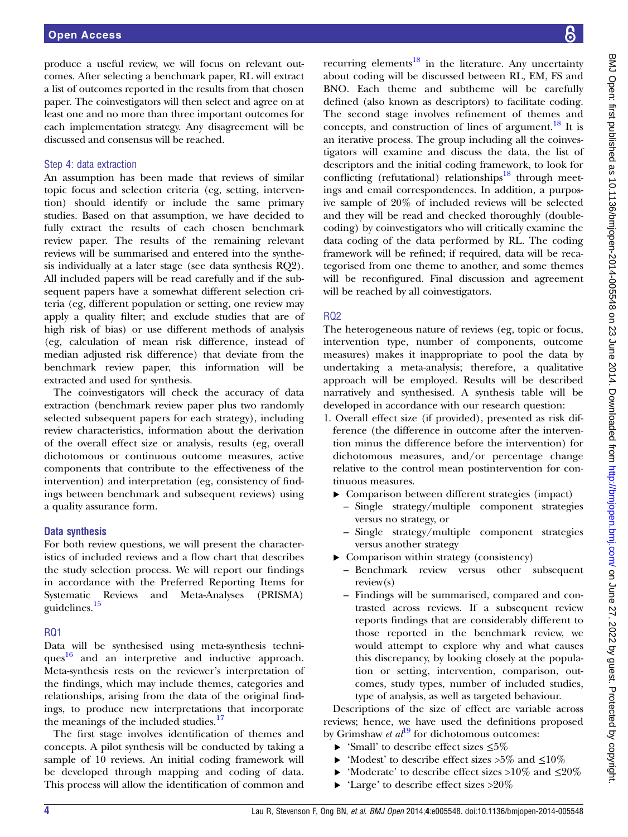produce a useful review, we will focus on relevant outcomes. After selecting a benchmark paper, RL will extract a list of outcomes reported in the results from that chosen paper. The coinvestigators will then select and agree on at least one and no more than three important outcomes for each implementation strategy. Any disagreement will be discussed and consensus will be reached.

#### Step 4: data extraction

An assumption has been made that reviews of similar topic focus and selection criteria (eg, setting, intervention) should identify or include the same primary studies. Based on that assumption, we have decided to fully extract the results of each chosen benchmark review paper. The results of the remaining relevant reviews will be summarised and entered into the synthesis individually at a later stage (see data synthesis RQ2). All included papers will be read carefully and if the subsequent papers have a somewhat different selection criteria (eg, different population or setting, one review may apply a quality filter; and exclude studies that are of high risk of bias) or use different methods of analysis (eg, calculation of mean risk difference, instead of median adjusted risk difference) that deviate from the benchmark review paper, this information will be extracted and used for synthesis.

The coinvestigators will check the accuracy of data extraction (benchmark review paper plus two randomly selected subsequent papers for each strategy), including review characteristics, information about the derivation of the overall effect size or analysis, results (eg, overall dichotomous or continuous outcome measures, active components that contribute to the effectiveness of the intervention) and interpretation (eg, consistency of findings between benchmark and subsequent reviews) using a quality assurance form.

#### Data synthesis

For both review questions, we will present the characteristics of included reviews and a flow chart that describes the study selection process. We will report our findings in accordance with the Preferred Reporting Items for Systematic Reviews and Meta-Analyses (PRISMA) guidelines.[15](#page-5-0)

#### RQ1

Data will be synthesised using meta-synthesis techni-ques<sup>[16](#page-5-0)</sup> and an interpretive and inductive approach. Meta-synthesis rests on the reviewer's interpretation of the findings, which may include themes, categories and relationships, arising from the data of the original findings, to produce new interpretations that incorporate the meanings of the included studies.<sup>[17](#page-5-0)</sup>

The first stage involves identification of themes and concepts. A pilot synthesis will be conducted by taking a sample of 10 reviews. An initial coding framework will be developed through mapping and coding of data. This process will allow the identification of common and

recurring elements<sup>18</sup> in the literature. Any uncertainty about coding will be discussed between RL, EM, FS and BNO. Each theme and subtheme will be carefully defined (also known as descriptors) to facilitate coding. The second stage involves refinement of themes and concepts, and construction of lines of argument. $^{18}$  $^{18}$  $^{18}$  It is an iterative process. The group including all the coinvestigators will examine and discuss the data, the list of descriptors and the initial coding framework, to look for conflicting (refutational) relationships<sup>18</sup> through meetings and email correspondences. In addition, a purposive sample of 20% of included reviews will be selected and they will be read and checked thoroughly (doublecoding) by coinvestigators who will critically examine the data coding of the data performed by RL. The coding framework will be refined; if required, data will be recategorised from one theme to another, and some themes will be reconfigured. Final discussion and agreement will be reached by all coinvestigators.

# RQ2

The heterogeneous nature of reviews (eg, topic or focus, intervention type, number of components, outcome measures) makes it inappropriate to pool the data by undertaking a meta-analysis; therefore, a qualitative approach will be employed. Results will be described narratively and synthesised. A synthesis table will be developed in accordance with our research question:

- 1. Overall effect size (if provided), presented as risk difference (the difference in outcome after the intervention minus the difference before the intervention) for dichotomous measures, and/or percentage change relative to the control mean postintervention for continuous measures.
	- ▸ Comparison between different strategies (impact)
		- Single strategy/multiple component strategies versus no strategy, or
		- Single strategy/multiple component strategies versus another strategy
	- ▸ Comparison within strategy (consistency)
	- Benchmark review versus other subsequent review(s)
	- Findings will be summarised, compared and contrasted across reviews. If a subsequent review reports findings that are considerably different to those reported in the benchmark review, we would attempt to explore why and what causes this discrepancy, by looking closely at the population or setting, intervention, comparison, outcomes, study types, number of included studies, type of analysis, as well as targeted behaviour.

Descriptions of the size of effect are variable across reviews; hence, we have used the definitions proposed by Grimshaw et  $al^{19}$  $al^{19}$  $al^{19}$  for dichotomous outcomes:

- ▸ 'Small' to describe effect sizes ≤5%
- 'Modest' to describe effect sizes  $>5\%$  and  $<10\%$
- 'Moderate' to describe effect sizes >10% and  $\leq 20\%$
- ▸ 'Large' to describe effect sizes >20%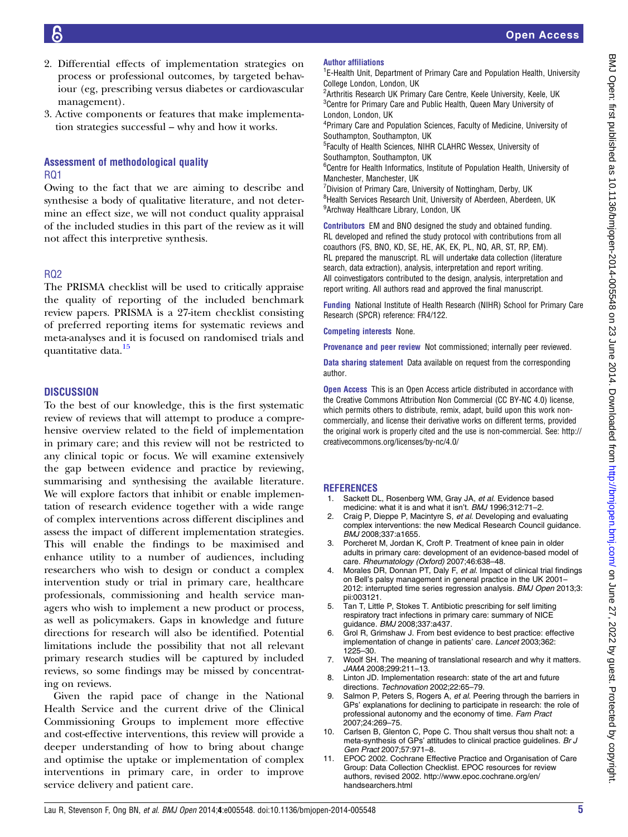- <span id="page-4-0"></span>2. Differential effects of implementation strategies on process or professional outcomes, by targeted behaviour (eg, prescribing versus diabetes or cardiovascular management).
- 3. Active components or features that make implementation strategies successful – why and how it works.

## Assessment of methodological quality RQ1

Owing to the fact that we are aiming to describe and synthesise a body of qualitative literature, and not determine an effect size, we will not conduct quality appraisal of the included studies in this part of the review as it will not affect this interpretive synthesis.

# RQ2

The PRISMA checklist will be used to critically appraise the quality of reporting of the included benchmark review papers. PRISMA is a 27-item checklist consisting of preferred reporting items for systematic reviews and meta-analyses and it is focused on randomised trials and quantitative data.<sup>[15](#page-5-0)</sup>

#### **DISCUSSION**

To the best of our knowledge, this is the first systematic review of reviews that will attempt to produce a comprehensive overview related to the field of implementation in primary care; and this review will not be restricted to any clinical topic or focus. We will examine extensively the gap between evidence and practice by reviewing, summarising and synthesising the available literature. We will explore factors that inhibit or enable implementation of research evidence together with a wide range of complex interventions across different disciplines and assess the impact of different implementation strategies. This will enable the findings to be maximised and enhance utility to a number of audiences, including researchers who wish to design or conduct a complex intervention study or trial in primary care, healthcare professionals, commissioning and health service managers who wish to implement a new product or process, as well as policymakers. Gaps in knowledge and future directions for research will also be identified. Potential limitations include the possibility that not all relevant primary research studies will be captured by included reviews, so some findings may be missed by concentrating on reviews.

Given the rapid pace of change in the National Health Service and the current drive of the Clinical Commissioning Groups to implement more effective and cost-effective interventions, this review will provide a deeper understanding of how to bring about change and optimise the uptake or implementation of complex interventions in primary care, in order to improve service delivery and patient care.

#### Author affiliations

<sup>1</sup>E-Health Unit, Department of Primary Care and Population Health, University College London, London, UK

<sup>2</sup> Arthritis Research UK Primary Care Centre, Keele University, Keele, UK <sup>3</sup> Centre for Primary Care and Public Health, Queen Mary University of London, London, UK

4 Primary Care and Population Sciences, Faculty of Medicine, University of Southampton, Southampton, UK

5 Faculty of Health Sciences, NIHR CLAHRC Wessex, University of Southampton, Southampton, UK

6 Centre for Health Informatics, Institute of Population Health, University of Manchester, Manchester, UK

<sup>7</sup> Division of Primary Care, University of Nottingham, Derby, UK <sup>8</sup>Health Services Research Unit, University of Aberdeen, Aberdeen, UK <sup>9</sup> Archway Healthcare Library, London, UK

Contributors EM and BNO designed the study and obtained funding. RL developed and refined the study protocol with contributions from all coauthors (FS, BNO, KD, SE, HE, AK, EK, PL, NQ, AR, ST, RP, EM). RL prepared the manuscript. RL will undertake data collection (literature search, data extraction), analysis, interpretation and report writing. All coinvestigators contributed to the design, analysis, interpretation and report writing. All authors read and approved the final manuscript.

Funding National Institute of Health Research (NIHR) School for Primary Care Research (SPCR) reference: FR4/122.

Competing interests None.

Provenance and peer review Not commissioned; internally peer reviewed.

Data sharing statement Data available on request from the corresponding author.

**Open Access** This is an Open Access article distributed in accordance with the Creative Commons Attribution Non Commercial (CC BY-NC 4.0) license, which permits others to distribute, remix, adapt, build upon this work noncommercially, and license their derivative works on different terms, provided the original work is properly cited and the use is non-commercial. See: [http://](http://creativecommons.org/licenses/by-nc/4.0/) [creativecommons.org/licenses/by-nc/4.0/](http://creativecommons.org/licenses/by-nc/4.0/)

#### **REFERENCES**

- 1. Sackett DL, Rosenberg WM, Gray JA, et al. Evidence based medicine: what it is and what it isn't. BMJ 1996;312:71–2.
- 2. Craig P, Dieppe P, Macintyre S, et al. Developing and evaluating complex interventions: the new Medical Research Council guidance. BMJ 2008;337:a1655.
- 3. Porcheret M, Jordan K, Croft P. Treatment of knee pain in older adults in primary care: development of an evidence-based model of care. Rheumatology (Oxford) 2007;46:638–48.
- 4. Morales DR, Donnan PT, Daly F, et al. Impact of clinical trial findings on Bell's palsy management in general practice in the UK 2001– 2012: interrupted time series regression analysis. BMJ Open 2013;3: pii:003121.
- 5. Tan T, Little P, Stokes T. Antibiotic prescribing for self limiting respiratory tract infections in primary care: summary of NICE guidance. BMJ 2008;337:a437.
- 6. Grol R, Grimshaw J. From best evidence to best practice: effective implementation of change in patients' care. Lancet 2003;362: 1225–30.
- 7. Woolf SH. The meaning of translational research and why it matters. JAMA 2008;299:211–13.
- Linton JD. Implementation research: state of the art and future directions. Technovation 2002;22:65–79.
- 9. Salmon P, Peters S, Rogers A, et al. Peering through the barriers in GPs' explanations for declining to participate in research: the role of professional autonomy and the economy of time. Fam Pract 2007;24:269–75.
- 10. Carlsen B, Glenton C, Pope C. Thou shalt versus thou shalt not: a meta-synthesis of GPs' attitudes to clinical practice guidelines. Br J Gen Pract 2007;57:971–8.
- 11. EPOC 2002. Cochrane Effective Practice and Organisation of Care Group: Data Collection Checklist. EPOC resources for review authors, revised 2002. [http://www.epoc.cochrane.org/en/](http://www.epoc.cochrane.org/en/handsearchers.html) [handsearchers.html](http://www.epoc.cochrane.org/en/handsearchers.html)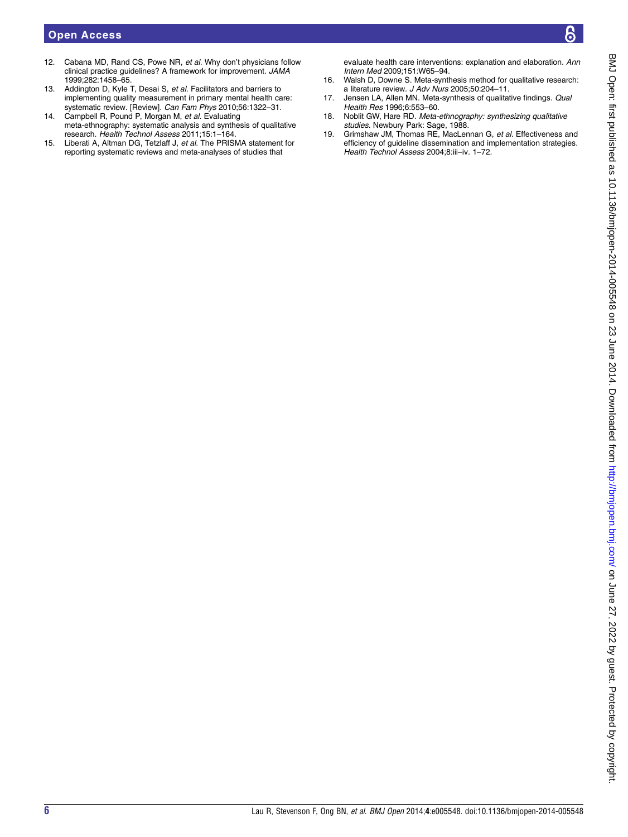# <span id="page-5-0"></span>Open Access

- 12. Cabana MD, Rand CS, Powe NR, et al. Why don't physicians follow clinical practice guidelines? A framework for improvement. JAMA 1999;282:1458–65.
- 13. Addington D, Kyle T, Desai S, et al. Facilitators and barriers to implementing quality measurement in primary mental health care: systematic review. [Review]. Can Fam Phys 2010;56:1322–31.
- 14. Campbell R, Pound P, Morgan M, et al. Evaluating meta-ethnography: systematic analysis and synthesis of qualitative research. Health Technol Assess 2011;15:1–164.
- 15. Liberati A, Altman DG, Tetzlaff J, et al. The PRISMA statement for reporting systematic reviews and meta-analyses of studies that

evaluate health care interventions: explanation and elaboration. Ann Intern Med 2009;151:W65–94.

- 16. Walsh D, Downe S. Meta-synthesis method for qualitative research: a literature review. J Adv Nurs 2005;50:204–11.
- 17. Jensen LA, Allen MN. Meta-synthesis of qualitative findings. Qual Health Res 1996;6:553–60.
- 18. Noblit GW, Hare RD. Meta-ethnography: synthesizing qualitative studies. Newbury Park: Sage, 1988.
- 19. Grimshaw JM, Thomas RE, MacLennan G, et al. Effectiveness and efficiency of guideline dissemination and implementation strategies. Health Technol Assess 2004;8:iii–iv. 1–72.